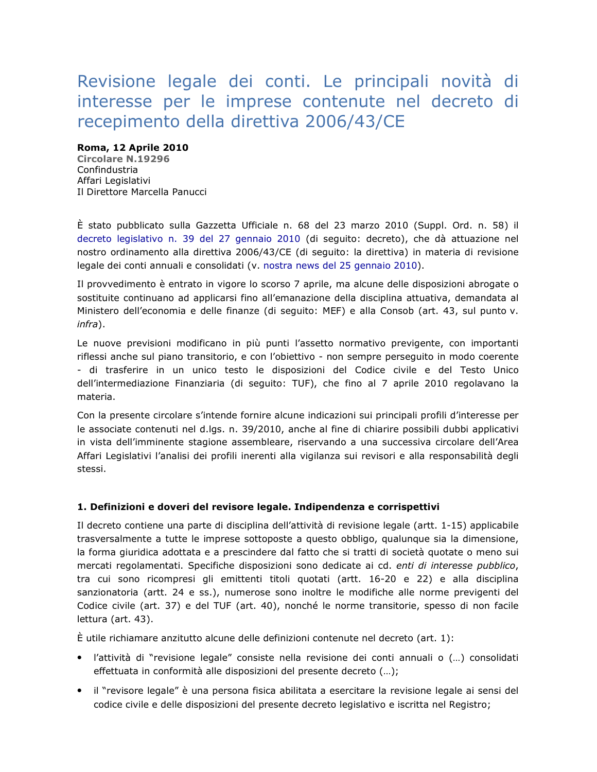# Revisione legale dei conti. Le principali novità di interesse per le imprese contenute nel decreto di recepimento della direttiva 2006/43/CE

### Roma, 12 Aprile 2010

**Circolare N.19296** Confindustria Affari Legislativi Il Direttore Marcella Panucci

È stato pubblicato sulla Gazzetta Ufficiale n. 68 del 23 marzo 2010 (Suppl. Ord. n. 58) il decreto legislativo n. 39 del 27 gennaio 2010 (di seguito: decreto), che dà attuazione nel nostro ordinamento alla direttiva 2006/43/CE (di seguito: la direttiva) in materia di revisione legale dei conti annuali e consolidati (v. nostra news del 25 gennaio 2010).

Il provvedimento è entrato in vigore lo scorso 7 aprile, ma alcune delle disposizioni abrogate o sostituite continuano ad applicarsi fino all'emanazione della disciplina attuativa, demandata al Ministero dell'economia e delle finanze (di seguito: MEF) e alla Consob (art. 43, sul punto v.  $infra)$ .

Le nuove previsioni modificano in più punti l'assetto normativo previgente, con importanti riflessi anche sul piano transitorio, e con l'obiettivo - non sempre perseguito in modo coerente - di trasferire in un unico testo le disposizioni del Codice civile e del Testo Unico dell'intermediazione Finanziaria (di seguito: TUF), che fino al 7 aprile 2010 regolavano la materia.

Con la presente circolare s'intende fornire alcune indicazioni sui principali profili d'interesse per le associate contenuti nel d.lgs. n. 39/2010, anche al fine di chiarire possibili dubbi applicativi in vista dell'imminente stagione assembleare, riservando a una successiva circolare dell'Area Affari Legislativi l'analisi dei profili inerenti alla vigilanza sui revisori e alla responsabilità degli stessi.

## 1. Definizioni e doveri del revisore legale. Indipendenza e corrispettivi

Il decreto contiene una parte di disciplina dell'attività di revisione legale (artt. 1-15) applicabile trasversalmente a tutte le imprese sottoposte a questo obbligo, qualunque sia la dimensione, la forma giuridica adottata e a prescindere dal fatto che si tratti di società quotate o meno sui mercati regolamentati. Specifiche disposizioni sono dedicate ai cd. enti di interesse pubblico, tra cui sono ricompresi gli emittenti titoli quotati (artt. 16-20 e 22) e alla disciplina sanzionatoria (artt. 24 e ss.), numerose sono inoltre le modifiche alle norme previgenti del Codice civile (art. 37) e del TUF (art. 40), nonché le norme transitorie, spesso di non facile lettura (art. 43).

È utile richiamare anzitutto alcune delle definizioni contenute nel decreto (art. 1):

- · l'attività di "revisione legale" consiste nella revisione dei conti annuali o (...) consolidati effettuata in conformità alle disposizioni del presente decreto (...);
- · il "revisore legale" è una persona fisica abilitata a esercitare la revisione legale ai sensi del codice civile e delle disposizioni del presente decreto legislativo e iscritta nel Registro;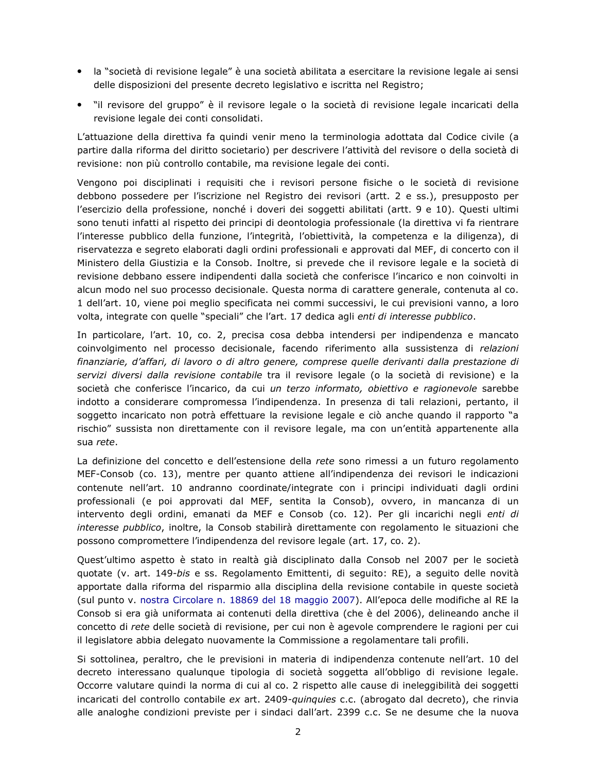- · la "società di revisione legale" è una società abilitata a esercitare la revisione legale ai sensi delle disposizioni del presente decreto legislativo e iscritta nel Registro;
- "il revisore del gruppo" è il revisore legale o la società di revisione legale incaricati della revisione legale dei conti consolidati.

L'attuazione della direttiva fa quindi venir meno la terminologia adottata dal Codice civile (a partire dalla riforma del diritto societario) per descrivere l'attività del revisore o della società di revisione: non più controllo contabile, ma revisione legale dei conti.

Vengono poi disciplinati i requisiti che i revisori persone fisiche o le società di revisione debbono possedere per l'iscrizione nel Registro dei revisori (artt. 2 e ss.), presupposto per l'esercizio della professione, nonché i doveri dei soggetti abilitati (artt. 9 e 10). Questi ultimi sono tenuti infatti al rispetto dei principi di deontologia professionale (la direttiva vi fa rientrare l'interesse pubblico della funzione, l'integrità, l'obiettività, la competenza e la diligenza), di riservatezza e segreto elaborati dagli ordini professionali e approvati dal MEF, di concerto con il Ministero della Giustizia e la Consob. Inoltre, si prevede che il revisore legale e la società di revisione debbano essere indipendenti dalla società che conferisce l'incarico e non coinvolti in alcun modo nel suo processo decisionale. Questa norma di carattere generale, contenuta al co. 1 dell'art. 10, viene poi meglio specificata nei commi successivi, le cui previsioni vanno, a loro volta, integrate con quelle "speciali" che l'art. 17 dedica agli enti di interesse pubblico.

In particolare, l'art. 10, co. 2, precisa cosa debba intendersi per indipendenza e mancato coinvolgimento nel processo decisionale, facendo riferimento alla sussistenza di relazioni finanziarie, d'affari, di lavoro o di altro genere, comprese quelle derivanti dalla prestazione di servizi diversi dalla revisione contabile tra il revisore legale (o la società di revisione) e la società che conferisce l'incarico, da cui un terzo informato, obiettivo e ragionevole sarebbe indotto a considerare compromessa l'indipendenza. In presenza di tali relazioni, pertanto, il soggetto incaricato non potrà effettuare la revisione legale e ciò anche guando il rapporto "a rischio" sussista non direttamente con il revisore legale, ma con un'entità appartenente alla sua rete.

La definizione del concetto e dell'estensione della rete sono rimessi a un futuro regolamento MEF-Consob (co. 13), mentre per quanto attiene all'indipendenza dei revisori le indicazioni contenute nell'art. 10 andranno coordinate/integrate con i principi individuati dagli ordini professionali (e poi approvati dal MEF, sentita la Consob), ovvero, in mancanza di un intervento degli ordini, emanati da MEF e Consob (co. 12). Per gli incarichi negli enti di interesse pubblico, inoltre, la Consob stabilirà direttamente con regolamento le situazioni che possono compromettere l'indipendenza del revisore legale (art. 17, co. 2).

Quest'ultimo aspetto è stato in realtà già disciplinato dalla Consob nel 2007 per le società quotate (v. art. 149-bis e ss. Regolamento Emittenti, di seguito: RE), a seguito delle novità apportate dalla riforma del risparmio alla disciplina della revisione contabile in queste società (sul punto v. nostra Circolare n. 18869 del 18 maggio 2007). All'epoca delle modifiche al RE la Consob si era già uniformata ai contenuti della direttiva (che è del 2006), delineando anche il concetto di rete delle società di revisione, per cui non è agevole comprendere le ragioni per cui il legislatore abbia delegato nuovamente la Commissione a regolamentare tali profili.

Si sottolinea, peraltro, che le previsioni in materia di indipendenza contenute nell'art. 10 del decreto interessano qualunque tipologia di società soggetta all'obbligo di revisione legale. Occorre valutare quindi la norma di cui al co. 2 rispetto alle cause di ineleggibilità dei soggetti incaricati del controllo contabile ex art. 2409-quinquies c.c. (abrogato dal decreto), che rinvia alle analoghe condizioni previste per i sindaci dall'art. 2399 c.c. Se ne desume che la nuova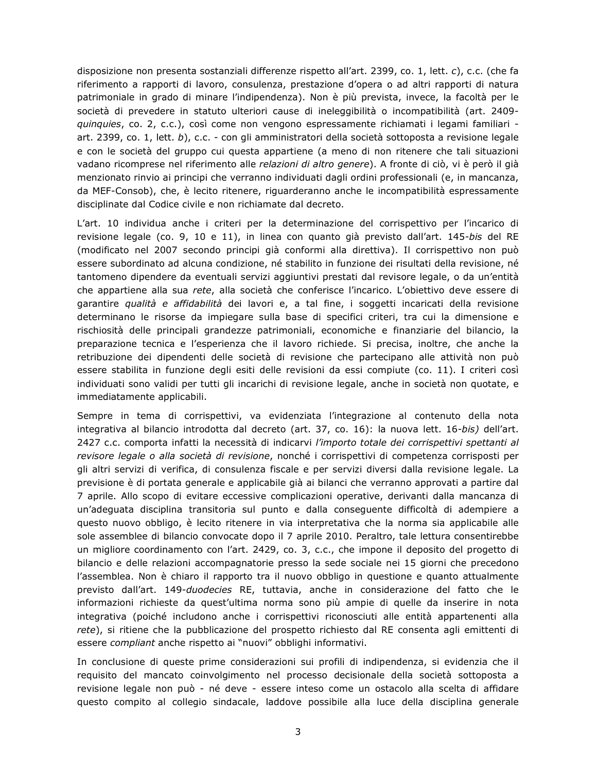disposizione non presenta sostanziali differenze rispetto all'art. 2399, co. 1, lett. c), c.c. (che fa riferimento a rapporti di lavoro, consulenza, prestazione d'opera o ad altri rapporti di natura patrimoniale in grado di minare l'indipendenza). Non è più prevista, invece, la facoltà per le società di prevedere in statuto ulteriori cause di ineleggibilità o incompatibilità (art. 2409quinquies, co. 2, c.c.), così come non vengono espressamente richiamati i legami familiari art. 2399, co. 1, lett. b), c.c. - con gli amministratori della società sottoposta a revisione legale e con le società del gruppo cui questa appartiene (a meno di non ritenere che tali situazioni vadano ricomprese nel riferimento alle relazioni di altro genere). A fronte di ciò, vi è però il già menzionato rinvio ai principi che verranno individuati dagli ordini professionali (e, in mancanza, da MEF-Consob), che, è lecito ritenere, riguarderanno anche le incompatibilità espressamente disciplinate dal Codice civile e non richiamate dal decreto.

L'art. 10 individua anche i criteri per la determinazione del corrispettivo per l'incarico di revisione legale (co. 9, 10 e 11), in linea con quanto già previsto dall'art. 145-bis del RE (modificato nel 2007 secondo principi già conformi alla direttiva). Il corrispettivo non può essere subordinato ad alcuna condizione, né stabilito in funzione dei risultati della revisione, né tantomeno dipendere da eventuali servizi aggiuntivi prestati dal revisore legale, o da un'entità che appartiene alla sua rete, alla società che conferisce l'incarico. L'obiettivo deve essere di garantire *qualità e affidabilità* dei lavori e, a tal fine, i soggetti incaricati della revisione determinano le risorse da impiegare sulla base di specifici criteri, tra cui la dimensione e rischiosità delle principali grandezze patrimoniali, economiche e finanziarie del bilancio, la preparazione tecnica e l'esperienza che il lavoro richiede. Si precisa, inoltre, che anche la retribuzione dei dipendenti delle società di revisione che partecipano alle attività non può essere stabilita in funzione degli esiti delle revisioni da essi compiute (co. 11). I criteri così individuati sono validi per tutti gli incarichi di revisione legale, anche in società non quotate, e immediatamente applicabili.

Sempre in tema di corrispettivi, va evidenziata l'integrazione al contenuto della nota integrativa al bilancio introdotta dal decreto (art. 37, co. 16): la nuova lett. 16-bis) dell'art. 2427 c.c. comporta infatti la necessità di indicarvi l'importo totale dei corrispettivi spettanti al revisore legale o alla società di revisione, nonché i corrispettivi di competenza corrisposti per gli altri servizi di verifica, di consulenza fiscale e per servizi diversi dalla revisione legale. La previsione è di portata generale e applicabile già ai bilanci che verranno approvati a partire dal 7 aprile. Allo scopo di evitare eccessive complicazioni operative, derivanti dalla mancanza di un'adeguata disciplina transitoria sul punto e dalla conseguente difficoltà di adempiere a questo nuovo obbligo, è lecito ritenere in via interpretativa che la norma sia applicabile alle sole assemblee di bilancio convocate dopo il 7 aprile 2010. Peraltro, tale lettura consentirebbe un migliore coordinamento con l'art. 2429, co. 3, c.c., che impone il deposito del progetto di bilancio e delle relazioni accompagnatorie presso la sede sociale nei 15 giorni che precedono l'assemblea. Non è chiaro il rapporto tra il nuovo obbligo in questione e quanto attualmente previsto dall'art. 149-duodecies RE, tuttavia, anche in considerazione del fatto che le informazioni richieste da quest'ultima norma sono più ampie di quelle da inserire in nota integrativa (poiché includono anche i corrispettivi riconosciuti alle entità appartenenti alla rete), si ritiene che la pubblicazione del prospetto richiesto dal RE consenta agli emittenti di essere compliant anche rispetto ai "nuovi" obblighi informativi.

In conclusione di queste prime considerazioni sui profili di indipendenza, si evidenzia che il requisito del mancato coinvolgimento nel processo decisionale della società sottoposta a revisione legale non può - né deve - essere inteso come un ostacolo alla scelta di affidare questo compito al collegio sindacale, laddove possibile alla luce della disciplina generale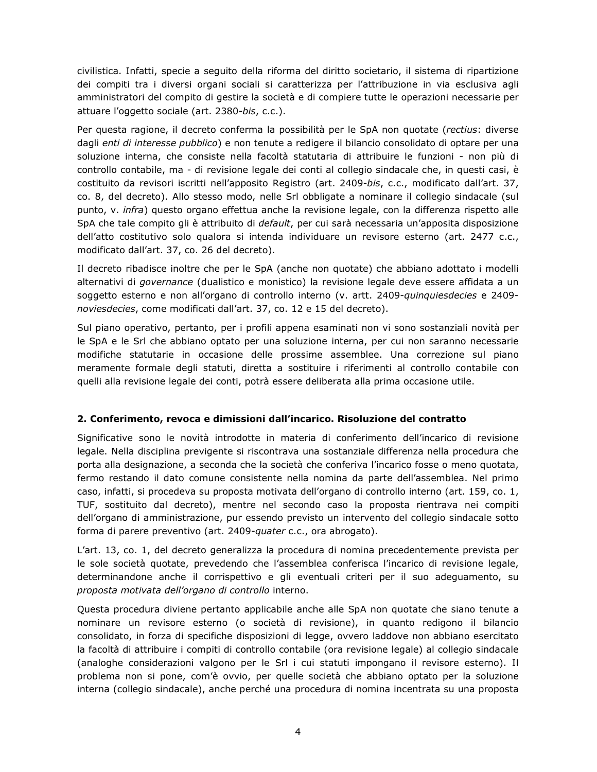civilistica. Infatti, specie a seguito della riforma del diritto societario, il sistema di ripartizione dei compiti tra i diversi organi sociali si caratterizza per l'attribuzione in via esclusiva agli amministratori del compito di gestire la società e di compiere tutte le operazioni necessarie per attuare l'oggetto sociale (art. 2380-bis, c.c.).

Per questa ragione, il decreto conferma la possibilità per le SpA non quotate (rectius: diverse dagli enti di interesse pubblico) e non tenute a redigere il bilancio consolidato di optare per una soluzione interna, che consiste nella facoltà statutaria di attribuire le funzioni - non più di controllo contabile, ma - di revisione legale dei conti al collegio sindacale che, in questi casi, è costituito da revisori iscritti nell'apposito Registro (art. 2409-bis, c.c., modificato dall'art. 37, co. 8, del decreto). Allo stesso modo, nelle Srl obbligate a nominare il collegio sindacale (sul punto, v. infra) questo organo effettua anche la revisione legale, con la differenza rispetto alle SpA che tale compito gli è attribuito di *default*, per cui sarà necessaria un'apposita disposizione dell'atto costitutivo solo qualora si intenda individuare un revisore esterno (art. 2477 c.c., modificato dall'art. 37, co. 26 del decreto).

Il decreto ribadisce inoltre che per le SpA (anche non quotate) che abbiano adottato i modelli alternativi di *governance* (dualistico e monistico) la revisione legale deve essere affidata a un soggetto esterno e non all'organo di controllo interno (v. artt. 2409-quinquiesdecies e 2409noviesdecies, come modificati dall'art. 37, co. 12 e 15 del decreto).

Sul piano operativo, pertanto, per i profili appena esaminati non vi sono sostanziali novità per le SpA e le Srl che abbiano optato per una soluzione interna, per cui non saranno necessarie modifiche statutarie in occasione delle prossime assemblee. Una correzione sul piano meramente formale degli statuti, diretta a sostituire i riferimenti al controllo contabile con quelli alla revisione legale dei conti, potrà essere deliberata alla prima occasione utile.

## 2. Conferimento, revoca e dimissioni dall'incarico. Risoluzione del contratto

Significative sono le novità introdotte in materia di conferimento dell'incarico di revisione legale. Nella disciplina previgente si riscontrava una sostanziale differenza nella procedura che porta alla designazione, a seconda che la società che conferiva l'incarico fosse o meno quotata, fermo restando il dato comune consistente nella nomina da parte dell'assemblea. Nel primo caso, infatti, si procedeva su proposta motivata dell'organo di controllo interno (art. 159, co. 1, TUF, sostituito dal decreto), mentre nel secondo caso la proposta rientrava nei compiti dell'organo di amministrazione, pur essendo previsto un intervento del collegio sindacale sotto forma di parere preventivo (art. 2409-quater c.c., ora abrogato).

L'art. 13, co. 1, del decreto generalizza la procedura di nomina precedentemente prevista per le sole società quotate, prevedendo che l'assemblea conferisca l'incarico di revisione legale, determinandone anche il corrispettivo e gli eventuali criteri per il suo adeguamento, su proposta motivata dell'organo di controllo interno.

Questa procedura diviene pertanto applicabile anche alle SpA non quotate che siano tenute a nominare un revisore esterno (o società di revisione), in quanto redigono il bilancio consolidato, in forza di specifiche disposizioni di legge, ovvero laddove non abbiano esercitato la facoltà di attribuire i compiti di controllo contabile (ora revisione legale) al collegio sindacale (analoghe considerazioni valgono per le Srl i cui statuti impongano il revisore esterno). Il problema non si pone, com'è ovvio, per quelle società che abbiano optato per la soluzione interna (collegio sindacale), anche perché una procedura di nomina incentrata su una proposta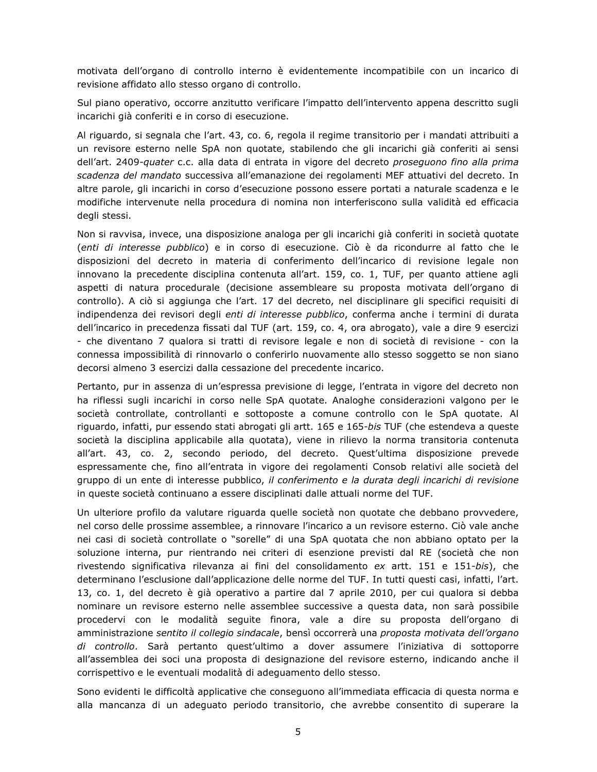motivata dell'organo di controllo interno è evidentemente incompatibile con un incarico di revisione affidato allo stesso organo di controllo.

Sul piano operativo, occorre anzitutto verificare l'impatto dell'intervento appena descritto sugli incarichi già conferiti e in corso di esecuzione.

Al riguardo, si segnala che l'art. 43, co. 6, regola il regime transitorio per i mandati attribuiti a un revisore esterno nelle SpA non quotate, stabilendo che gli incarichi già conferiti ai sensi dell'art. 2409-quater c.c. alla data di entrata in vigore del decreto proseguono fino alla prima scadenza del mandato successiva all'emanazione dei regolamenti MEF attuativi del decreto. In altre parole, gli incarichi in corso d'esecuzione possono essere portati a naturale scadenza e le modifiche intervenute nella procedura di nomina non interferiscono sulla validità ed efficacia degli stessi.

Non si ravvisa, invece, una disposizione analoga per gli incarichi già conferiti in società quotate (enti di interesse pubblico) e in corso di esecuzione. Ciò è da ricondurre al fatto che le disposizioni del decreto in materia di conferimento dell'incarico di revisione legale non innovano la precedente disciplina contenuta all'art. 159, co. 1, TUF, per quanto attiene agli aspetti di natura procedurale (decisione assembleare su proposta motivata dell'organo di controllo). A ciò si aggiunga che l'art. 17 del decreto, nel disciplinare gli specifici requisiti di indipendenza dei revisori degli enti di interesse pubblico, conferma anche i termini di durata dell'incarico in precedenza fissati dal TUF (art. 159, co. 4, ora abrogato), vale a dire 9 esercizi - che diventano 7 qualora si tratti di revisore legale e non di società di revisione - con la connessa impossibilità di rinnovarlo o conferirlo nuovamente allo stesso soggetto se non siano decorsi almeno 3 esercizi dalla cessazione del precedente incarico.

Pertanto, pur in assenza di un'espressa previsione di legge, l'entrata in vigore del decreto non ha riflessi sugli incarichi in corso nelle SpA quotate. Analoghe considerazioni valgono per le società controllate, controllanti e sottoposte a comune controllo con le SpA quotate. Al riguardo, infatti, pur essendo stati abrogati gli artt. 165 e 165-bis TUF (che estendeva a queste società la disciplina applicabile alla quotata), viene in rilievo la norma transitoria contenuta all'art. 43, co. 2, secondo periodo, del decreto. Quest'ultima disposizione prevede espressamente che, fino all'entrata in vigore dei regolamenti Consob relativi alle società del gruppo di un ente di interesse pubblico, *il conferimento e la durata degli incarichi di revisione* in queste società continuano a essere disciplinati dalle attuali norme del TUF.

Un ulteriore profilo da valutare riguarda quelle società non quotate che debbano provvedere, nel corso delle prossime assemblee, a rinnovare l'incarico a un revisore esterno. Ciò vale anche nei casi di società controllate o "sorelle" di una SpA quotata che non abbiano optato per la soluzione interna, pur rientrando nei criteri di esenzione previsti dal RE (società che non rivestendo significativa rilevanza ai fini del consolidamento ex artt. 151 e 151-bis), che determinano l'esclusione dall'applicazione delle norme del TUF. In tutti questi casi, infatti, l'art. 13, co. 1, del decreto è già operativo a partire dal 7 aprile 2010, per cui qualora si debba nominare un revisore esterno nelle assemblee successive a questa data, non sarà possibile procedervi con le modalità seguite finora, vale a dire su proposta dell'organo di amministrazione sentito il collegio sindacale, bensì occorrerà una proposta motivata dell'organo di controllo. Sarà pertanto quest'ultimo a dover assumere l'iniziativa di sottoporre all'assemblea dei soci una proposta di designazione del revisore esterno, indicando anche il corrispettivo e le eventuali modalità di adequamento dello stesso.

Sono evidenti le difficoltà applicative che conseguono all'immediata efficacia di questa norma e alla mancanza di un adeguato periodo transitorio, che avrebbe consentito di superare la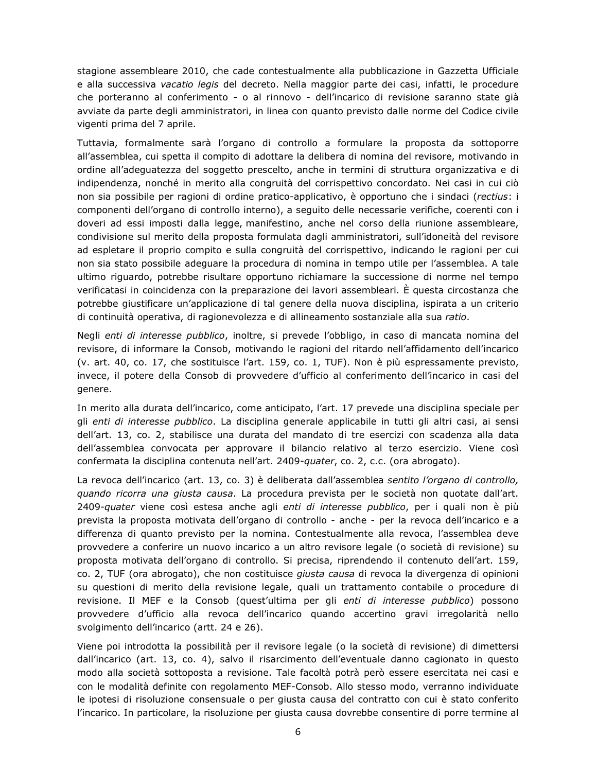stagione assembleare 2010, che cade contestualmente alla pubblicazione in Gazzetta Ufficiale e alla successiva vacatio legis del decreto. Nella maggior parte dei casi, infatti, le procedure che porteranno al conferimento - o al rinnovo - dell'incarico di revisione saranno state già avviate da parte degli amministratori, in linea con quanto previsto dalle norme del Codice civile vigenti prima del 7 aprile.

Tuttavia, formalmente sarà l'organo di controllo a formulare la proposta da sottoporre all'assemblea, cui spetta il compito di adottare la delibera di nomina del revisore, motivando in ordine all'adequatezza del soggetto prescelto, anche in termini di struttura organizzativa e di indipendenza, nonché in merito alla congruità del corrispettivo concordato. Nei casi in cui ciò non sia possibile per ragioni di ordine pratico-applicativo, è opportuno che i sindaci (rectius: i componenti dell'organo di controllo interno), a seguito delle necessarie verifiche, coerenti con i doveri ad essi imposti dalla legge, manifestino, anche nel corso della riunione assembleare, condivisione sul merito della proposta formulata dagli amministratori, sull'idoneità del revisore ad espletare il proprio compito e sulla congruità del corrispettivo, indicando le ragioni per cui non sia stato possibile adeguare la procedura di nomina in tempo utile per l'assemblea. A tale ultimo riguardo, potrebbe risultare opportuno richiamare la successione di norme nel tempo verificatasi in coincidenza con la preparazione dei lavori assembleari. È questa circostanza che potrebbe giustificare un'applicazione di tal genere della nuova disciplina, ispirata a un criterio di continuità operativa, di ragionevolezza e di allineamento sostanziale alla sua ratio.

Negli enti di interesse pubblico, inoltre, si prevede l'obbligo, in caso di mancata nomina del revisore, di informare la Consob, motivando le ragioni del ritardo nell'affidamento dell'incarico (v. art. 40, co. 17, che sostituisce l'art. 159, co. 1, TUF). Non è più espressamente previsto, invece, il potere della Consob di provvedere d'ufficio al conferimento dell'incarico in casi del genere.

In merito alla durata dell'incarico, come anticipato, l'art. 17 prevede una disciplina speciale per gli enti di interesse pubblico. La disciplina generale applicabile in tutti gli altri casi, ai sensi dell'art. 13, co. 2, stabilisce una durata del mandato di tre esercizi con scadenza alla data dell'assemblea convocata per approvare il bilancio relativo al terzo esercizio. Viene così confermata la disciplina contenuta nell'art. 2409-quater, co. 2, c.c. (ora abrogato).

La revoca dell'incarico (art. 13, co. 3) è deliberata dall'assemblea sentito l'organo di controllo, quando ricorra una giusta causa. La procedura prevista per le società non quotate dall'art. 2409-quater viene così estesa anche agli enti di interesse pubblico, per i quali non è più prevista la proposta motivata dell'organo di controllo - anche - per la revoca dell'incarico e a differenza di quanto previsto per la nomina. Contestualmente alla revoca, l'assemblea deve provvedere a conferire un nuovo incarico a un altro revisore legale (o società di revisione) su proposta motivata dell'organo di controllo. Si precisa, riprendendo il contenuto dell'art. 159, co. 2, TUF (ora abrogato), che non costituisce giusta causa di revoca la divergenza di opinioni su questioni di merito della revisione legale, quali un trattamento contabile o procedure di revisione. Il MEF e la Consob (quest'ultima per gli enti di interesse pubblico) possono provvedere d'ufficio alla revoca dell'incarico quando accertino gravi irregolarità nello svolgimento dell'incarico (artt. 24 e 26).

Viene poi introdotta la possibilità per il revisore legale (o la società di revisione) di dimettersi dall'incarico (art. 13, co. 4), salvo il risarcimento dell'eventuale danno cagionato in questo modo alla società sottoposta a revisione. Tale facoltà potrà però essere esercitata nei casi e con le modalità definite con regolamento MEF-Consob. Allo stesso modo, verranno individuate le ipotesi di risoluzione consensuale o per giusta causa del contratto con cui è stato conferito l'incarico. In particolare, la risoluzione per giusta causa dovrebbe consentire di porre termine al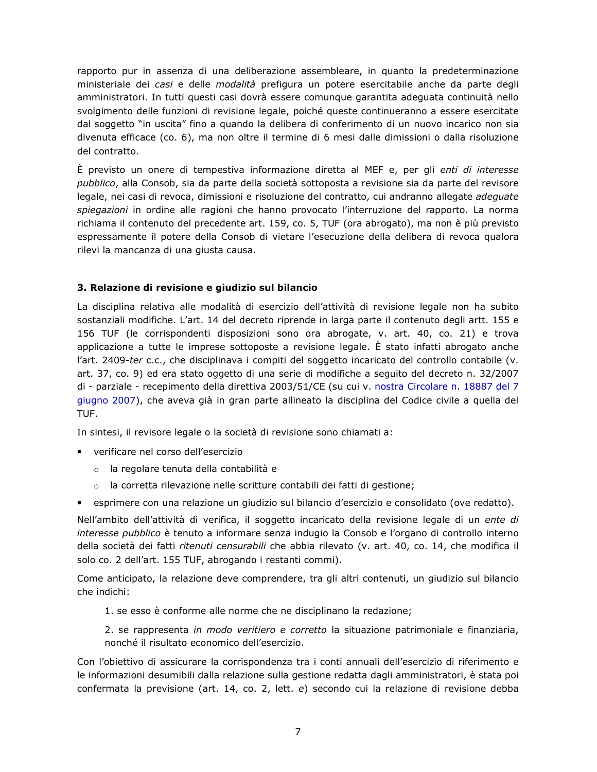rapporto pur in assenza di una deliberazione assembleare, in quanto la predeterminazione ministeriale dei casi e delle modalità prefigura un potere esercitabile anche da parte degli amministratori. In tutti questi casi dovrà essere comunque garantita adequata continuità nello svolgimento delle funzioni di revisione legale, poiché queste continueranno a essere esercitate dal soggetto "in uscita" fino a quando la delibera di conferimento di un nuovo incarico non sia divenuta efficace (co. 6), ma non oltre il termine di 6 mesi dalle dimissioni o dalla risoluzione del contratto.

È previsto un onere di tempestiva informazione diretta al MEF e, per gli enti di interesse pubblico, alla Consob, sia da parte della società sottoposta a revisione sia da parte del revisore legale, nei casi di revoca, dimissioni e risoluzione del contratto, cui andranno allegate adeguate spiegazioni in ordine alle ragioni che hanno provocato l'interruzione del rapporto. La norma richiama il contenuto del precedente art. 159, co. 5, TUF (ora abrogato), ma non è più previsto espressamente il potere della Consob di vietare l'esecuzione della delibera di revoca qualora rilevi la mancanza di una giusta causa.

## 3. Relazione di revisione e giudizio sul bilancio

La disciplina relativa alle modalità di esercizio dell'attività di revisione legale non ha subito sostanziali modifiche. L'art. 14 del decreto riprende in larga parte il contenuto degli artt. 155 e 156 TUF (le corrispondenti disposizioni sono ora abrogate, v. art. 40, co. 21) e trova applicazione a tutte le imprese sottoposte a revisione legale. È stato infatti abrogato anche l'art. 2409-ter c.c., che disciplinava i compiti del soggetto incaricato del controllo contabile (v. art. 37, co. 9) ed era stato oggetto di una serie di modifiche a seguito del decreto n. 32/2007 di - parziale - recepimento della direttiva 2003/51/CE (su cui v. nostra Circolare n. 18887 del 7 giugno 2007), che aveva già in gran parte allineato la disciplina del Codice civile a quella del TUF.

In sintesi, il revisore legale o la società di revisione sono chiamati a:

- verificare nel corso dell'esercizio
	- o la regolare tenuta della contabilità e
	- la corretta rilevazione nelle scritture contabili dei fatti di gestione;
- · esprimere con una relazione un giudizio sul bilancio d'esercizio e consolidato (ove redatto).

Nell'ambito dell'attività di verifica, il soggetto incaricato della revisione legale di un ente di interesse pubblico è tenuto a informare senza indugio la Consob e l'organo di controllo interno della società dei fatti ritenuti censurabili che abbia rilevato (v. art. 40, co. 14, che modifica il solo co. 2 dell'art. 155 TUF, abrogando i restanti commi).

Come anticipato, la relazione deve comprendere, tra gli altri contenuti, un giudizio sul bilancio che indichi:

1. se esso è conforme alle norme che ne disciplinano la redazione;

2. se rappresenta in modo veritiero e corretto la situazione patrimoniale e finanziaria, nonché il risultato economico dell'esercizio.

Con l'obiettivo di assicurare la corrispondenza tra i conti annuali dell'esercizio di riferimento e le informazioni desumibili dalla relazione sulla gestione redatta dagli amministratori, è stata poi confermata la previsione (art. 14, co. 2, lett. e) secondo cui la relazione di revisione debba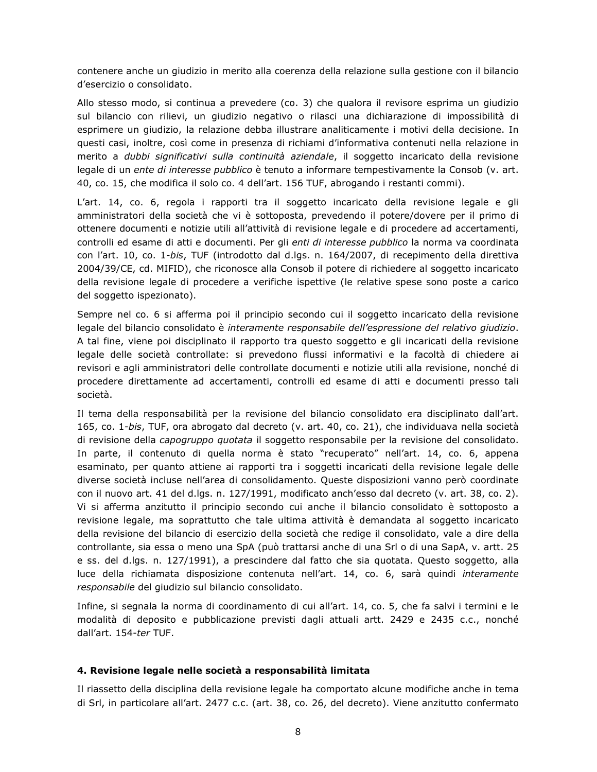contenere anche un giudizio in merito alla coerenza della relazione sulla gestione con il bilancio d'esercizio o consolidato.

Allo stesso modo, si continua a prevedere (co. 3) che qualora il revisore esprima un giudizio sul bilancio con rilievi, un giudizio negativo o rilasci una dichiarazione di impossibilità di esprimere un giudizio, la relazione debba illustrare analiticamente i motivi della decisione. In questi casi, inoltre, così come in presenza di richiami d'informativa contenuti nella relazione in merito a *dubbi significativi sulla continuità aziendale*, il soggetto incaricato della revisione legale di un ente di interesse pubblico è tenuto a informare tempestivamente la Consob (v. art. 40, co. 15, che modifica il solo co. 4 dell'art. 156 TUF, abrogando i restanti commi).

L'art. 14, co. 6, regola i rapporti tra il soggetto incaricato della revisione legale e gli amministratori della società che vi è sottoposta, prevedendo il potere/dovere per il primo di ottenere documenti e notizie utili all'attività di revisione legale e di procedere ad accertamenti, controlli ed esame di atti e documenti. Per gli enti di interesse pubblico la norma va coordinata con l'art. 10, co. 1-bis, TUF (introdotto dal d.lgs. n. 164/2007, di recepimento della direttiva 2004/39/CE, cd. MIFID), che riconosce alla Consob il potere di richiedere al soggetto incaricato della revisione legale di procedere a verifiche ispettive (le relative spese sono poste a carico del soggetto ispezionato).

Sempre nel co. 6 si afferma poi il principio secondo cui il soggetto incaricato della revisione legale del bilancio consolidato è interamente responsabile dell'espressione del relativo giudizio. A tal fine, viene poi disciplinato il rapporto tra questo soggetto e gli incaricati della revisione legale delle società controllate: si prevedono flussi informativi e la facoltà di chiedere ai revisori e agli amministratori delle controllate documenti e notizie utili alla revisione, nonché di procedere direttamente ad accertamenti, controlli ed esame di atti e documenti presso tali società.

Il tema della responsabilità per la revisione del bilancio consolidato era disciplinato dall'art. 165, co. 1-bis, TUF, ora abrogato dal decreto (v. art. 40, co. 21), che individuava nella società di revisione della capogruppo quotata il soggetto responsabile per la revisione del consolidato. In parte, il contenuto di quella norma è stato "recuperato" nell'art. 14, co. 6, appena esaminato, per quanto attiene ai rapporti tra i soggetti incaricati della revisione legale delle diverse società incluse nell'area di consolidamento. Queste disposizioni vanno però coordinate con il nuovo art. 41 del d.lgs. n. 127/1991, modificato anch'esso dal decreto (v. art. 38, co. 2). Vi si afferma anzitutto il principio secondo cui anche il bilancio consolidato è sottoposto a revisione legale, ma soprattutto che tale ultima attività è demandata al soggetto incaricato della revisione del bilancio di esercizio della società che redige il consolidato, vale a dire della controllante, sia essa o meno una SpA (può trattarsi anche di una Srl o di una SapA, v. artt. 25 e ss. del d.lgs. n. 127/1991), a prescindere dal fatto che sia quotata. Questo soggetto, alla luce della richiamata disposizione contenuta nell'art. 14, co. 6, sarà quindi interamente responsabile del giudizio sul bilancio consolidato.

Infine, si segnala la norma di coordinamento di cui all'art. 14, co. 5, che fa salvi i termini e le modalità di deposito e pubblicazione previsti dagli attuali artt. 2429 e 2435 c.c., nonché dall'art. 154-ter TUF.

## 4. Revisione legale nelle società a responsabilità limitata

Il riassetto della disciplina della revisione legale ha comportato alcune modifiche anche in tema di Srl, in particolare all'art. 2477 c.c. (art. 38, co. 26, del decreto). Viene anzitutto confermato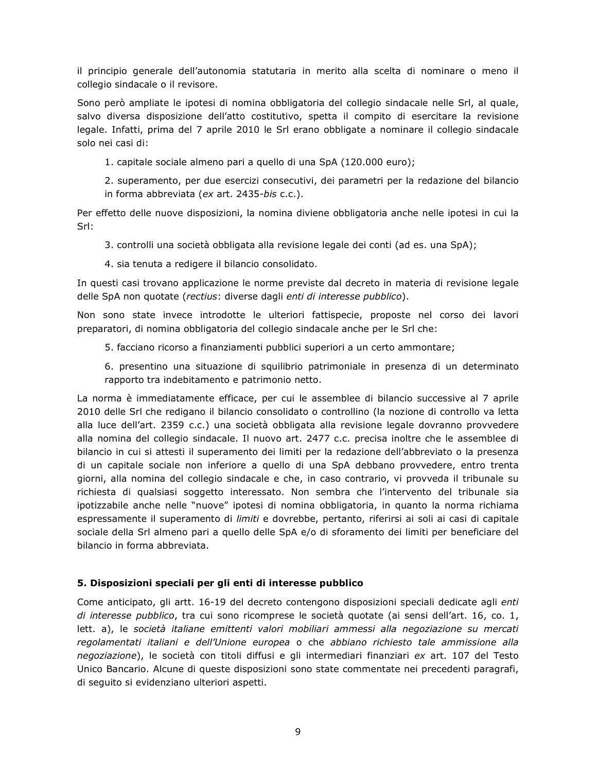il principio generale dell'autonomia statutaria in merito alla scelta di nominare o meno il collegio sindacale o il revisore.

Sono però ampliate le ipotesi di nomina obbligatoria del collegio sindacale nelle Srl, al quale, salvo diversa disposizione dell'atto costitutivo, spetta il compito di esercitare la revisione legale. Infatti, prima del 7 aprile 2010 le Srl erano obbligate a nominare il collegio sindacale solo nei casi di:

1. capitale sociale almeno pari a quello di una SpA (120.000 euro);

2. superamento, per due esercizi consecutivi, dei parametri per la redazione del bilancio in forma abbreviata (ex art. 2435-bis c.c.).

Per effetto delle nuove disposizioni, la nomina diviene obbligatoria anche nelle ipotesi in cui la Srl:

3. controlli una società obbligata alla revisione legale dei conti (ad es. una SpA);

4. sia tenuta a redigere il bilancio consolidato.

In questi casi trovano applicazione le norme previste dal decreto in materia di revisione legale delle SpA non quotate (rectius: diverse dagli enti di interesse pubblico).

Non sono state invece introdotte le ulteriori fattispecie, proposte nel corso dei lavori preparatori, di nomina obbligatoria del collegio sindacale anche per le Srl che:

5. facciano ricorso a finanziamenti pubblici superiori a un certo ammontare;

6. presentino una situazione di squilibrio patrimoniale in presenza di un determinato rapporto tra indebitamento e patrimonio netto.

La norma è immediatamente efficace, per cui le assemblee di bilancio successive al 7 aprile 2010 delle Srl che redigano il bilancio consolidato o controllino (la nozione di controllo va letta alla luce dell'art. 2359 c.c.) una società obbligata alla revisione legale dovranno provvedere alla nomina del collegio sindacale. Il nuovo art. 2477 c.c. precisa inoltre che le assemblee di bilancio in cui si attesti il superamento dei limiti per la redazione dell'abbreviato o la presenza di un capitale sociale non inferiore a quello di una SpA debbano provvedere, entro trenta giorni, alla nomina del collegio sindacale e che, in caso contrario, vi provveda il tribunale su richiesta di qualsiasi soggetto interessato. Non sembra che l'intervento del tribunale sia ipotizzabile anche nelle "nuove" ipotesi di nomina obbligatoria, in quanto la norma richiama espressamente il superamento di limiti e dovrebbe, pertanto, riferirsi ai soli ai casi di capitale sociale della Srl almeno pari a quello delle SpA e/o di sforamento dei limiti per beneficiare del bilancio in forma abbreviata.

## 5. Disposizioni speciali per gli enti di interesse pubblico

Come anticipato, gli artt. 16-19 del decreto contengono disposizioni speciali dedicate agli enti di interesse pubblico, tra cui sono ricomprese le società quotate (ai sensi dell'art. 16, co. 1, lett. a), le società italiane emittenti valori mobiliari ammessi alla negoziazione su mercati regolamentati italiani e dell'Unione europea o che abbiano richiesto tale ammissione alla negoziazione), le società con titoli diffusi e gli intermediari finanziari ex art. 107 del Testo Unico Bancario. Alcune di queste disposizioni sono state commentate nei precedenti paragrafi, di seguito si evidenziano ulteriori aspetti.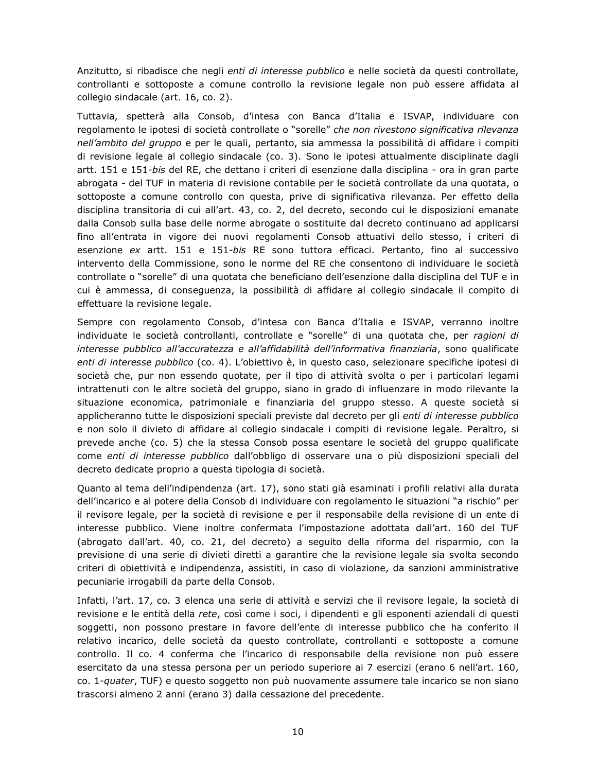Anzitutto, si ribadisce che negli enti di interesse pubblico e nelle società da questi controllate, controllanti e sottoposte a comune controllo la revisione legale non può essere affidata al collegio sindacale (art. 16, co. 2).

Tuttavia, spetterà alla Consob, d'intesa con Banca d'Italia e ISVAP, individuare con regolamento le ipotesi di società controllate o "sorelle" che non rivestono significativa rilevanza nell'ambito del gruppo e per le quali, pertanto, sia ammessa la possibilità di affidare i compiti di revisione legale al collegio sindacale (co. 3). Sono le ipotesi attualmente disciplinate dagli artt. 151 e 151-bis del RE, che dettano i criteri di esenzione dalla disciplina - ora in gran parte abrogata - del TUF in materia di revisione contabile per le società controllate da una quotata, o sottoposte a comune controllo con questa, prive di significativa rilevanza. Per effetto della disciplina transitoria di cui all'art. 43, co. 2, del decreto, secondo cui le disposizioni emanate dalla Consob sulla base delle norme abrogate o sostituite dal decreto continuano ad applicarsi fino all'entrata in vigore dei nuovi regolamenti Consob attuativi dello stesso, i criteri di esenzione ex artt. 151 e 151-bis RE sono tuttora efficaci. Pertanto, fino al successivo intervento della Commissione, sono le norme del RE che consentono di individuare le società controllate o "sorelle" di una quotata che beneficiano dell'esenzione dalla disciplina del TUF e in cui è ammessa, di conseguenza, la possibilità di affidare al collegio sindacale il compito di effettuare la revisione legale.

Sempre con regolamento Consob, d'intesa con Banca d'Italia e ISVAP, verranno inoltre individuate le società controllanti, controllate e "sorelle" di una quotata che, per ragioni di interesse pubblico all'accuratezza e all'affidabilità dell'informativa finanziaria, sono qualificate enti di interesse pubblico (co. 4). L'obiettivo è, in questo caso, selezionare specifiche ipotesi di società che, pur non essendo quotate, per il tipo di attività svolta o per i particolari legami intrattenuti con le altre società del gruppo, siano in grado di influenzare in modo rilevante la situazione economica, patrimoniale e finanziaria del gruppo stesso. A queste società si applicheranno tutte le disposizioni speciali previste dal decreto per gli enti di interesse pubblico e non solo il divieto di affidare al collegio sindacale i compiti di revisione legale. Peraltro, si prevede anche (co. 5) che la stessa Consob possa esentare le società del gruppo qualificate come enti di interesse pubblico dall'obbligo di osservare una o più disposizioni speciali del decreto dedicate proprio a questa tipologia di società.

Quanto al tema dell'indipendenza (art. 17), sono stati già esaminati i profili relativi alla durata dell'incarico e al potere della Consob di individuare con regolamento le situazioni "a rischio" per il revisore legale, per la società di revisione e per il responsabile della revisione di un ente di interesse pubblico. Viene inoltre confermata l'impostazione adottata dall'art. 160 del TUF (abrogato dall'art. 40, co. 21, del decreto) a seguito della riforma del risparmio, con la previsione di una serie di divieti diretti a garantire che la revisione legale sia svolta secondo criteri di obiettività e indipendenza, assistiti, in caso di violazione, da sanzioni amministrative pecuniarie irrogabili da parte della Consob.

Infatti, l'art. 17, co. 3 elenca una serie di attività e servizi che il revisore legale, la società di revisione e le entità della rete, così come i soci, i dipendenti e gli esponenti aziendali di questi soggetti, non possono prestare in favore dell'ente di interesse pubblico che ha conferito il relativo incarico, delle società da questo controllate, controllanti e sottoposte a comune controllo. Il co. 4 conferma che l'incarico di responsabile della revisione non può essere esercitato da una stessa persona per un periodo superiore ai 7 esercizi (erano 6 nell'art. 160, co. 1-quater, TUF) e questo soggetto non può nuovamente assumere tale incarico se non siano trascorsi almeno 2 anni (erano 3) dalla cessazione del precedente.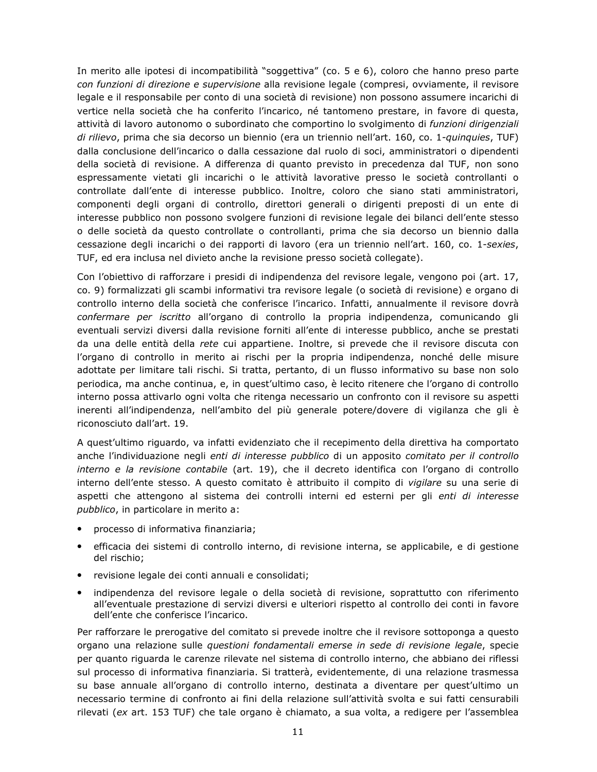In merito alle ipotesi di incompatibilità "soggettiva" (co. 5 e 6), coloro che hanno preso parte con funzioni di direzione e supervisione alla revisione legale (compresi, ovviamente, il revisore legale e il responsabile per conto di una società di revisione) non possono assumere incarichi di vertice nella società che ha conferito l'incarico, né tantomeno prestare, in favore di questa, attività di lavoro autonomo o subordinato che comportino lo svolgimento di funzioni dirigenziali di rilievo, prima che sia decorso un biennio (era un triennio nell'art. 160, co. 1-quinquies, TUF) dalla conclusione dell'incarico o dalla cessazione dal ruolo di soci, amministratori o dipendenti della società di revisione. A differenza di quanto previsto in precedenza dal TUF, non sono espressamente vietati gli incarichi o le attività lavorative presso le società controllanti o controllate dall'ente di interesse pubblico. Inoltre, coloro che siano stati amministratori, componenti degli organi di controllo, direttori generali o dirigenti preposti di un ente di interesse pubblico non possono svolgere funzioni di revisione legale dei bilanci dell'ente stesso o delle società da questo controllate o controllanti, prima che sia decorso un biennio dalla cessazione degli incarichi o dei rapporti di lavoro (era un triennio nell'art. 160, co. 1-sexies, TUF, ed era inclusa nel divieto anche la revisione presso società collegate).

Con l'obiettivo di rafforzare i presidi di indipendenza del revisore legale, vengono poi (art. 17, co. 9) formalizzati gli scambi informativi tra revisore legale (o società di revisione) e organo di controllo interno della società che conferisce l'incarico. Infatti, annualmente il revisore dovrà confermare per iscritto all'organo di controllo la propria indipendenza, comunicando gli eventuali servizi diversi dalla revisione forniti all'ente di interesse pubblico, anche se prestati da una delle entità della rete cui appartiene. Inoltre, si prevede che il revisore discuta con l'organo di controllo in merito ai rischi per la propria indipendenza, nonché delle misure adottate per limitare tali rischi. Si tratta, pertanto, di un flusso informativo su base non solo periodica, ma anche continua, e, in quest'ultimo caso, è lecito ritenere che l'organo di controllo interno possa attivarlo ogni volta che ritenga necessario un confronto con il revisore su aspetti inerenti all'indipendenza, nell'ambito del più generale potere/dovere di vigilanza che gli è riconosciuto dall'art. 19.

A quest'ultimo riguardo, va infatti evidenziato che il recepimento della direttiva ha comportato anche l'individuazione negli enti di interesse pubblico di un apposito comitato per il controllo interno e la revisione contabile (art. 19), che il decreto identifica con l'organo di controllo interno dell'ente stesso. A questo comitato è attribuito il compito di vigilare su una serie di aspetti che attengono al sistema dei controlli interni ed esterni per gli enti di interesse pubblico, in particolare in merito a:

- processo di informativa finanziaria;
- · efficacia dei sistemi di controllo interno, di revisione interna, se applicabile, e di gestione del rischio;
- revisione legale dei conti annuali e consolidati;
- indipendenza del revisore legale o della società di revisione, soprattutto con riferimento all'eventuale prestazione di servizi diversi e ulteriori rispetto al controllo dei conti in favore dell'ente che conferisce l'incarico.

Per rafforzare le prerogative del comitato si prevede inoltre che il revisore sottoponga a questo organo una relazione sulle *questioni fondamentali emerse in sede di revisione legale*, specie per quanto riguarda le carenze rilevate nel sistema di controllo interno, che abbiano dei riflessi sul processo di informativa finanziaria. Si tratterà, evidentemente, di una relazione trasmessa su base annuale all'organo di controllo interno, destinata a diventare per quest'ultimo un necessario termine di confronto ai fini della relazione sull'attività svolta e sui fatti censurabili rilevati (ex art. 153 TUF) che tale organo è chiamato, a sua volta, a redigere per l'assemblea